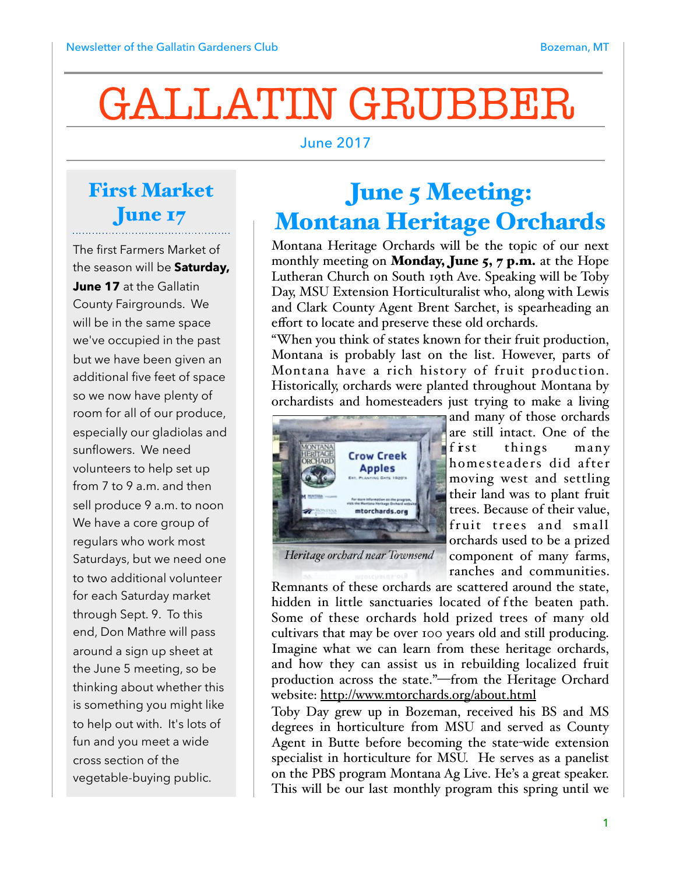# GALLATIN GRUBBER

#### June 2017

#### First Market June 17

The first Farmers Market of the season will be **Saturday, June 17** at the Gallatin County Fairgrounds. We will be in the same space we've occupied in the past but we have been given an additional five feet of space so we now have plenty of room for all of our produce, especially our gladiolas and sunflowers. We need volunteers to help set up from 7 to 9 a.m. and then sell produce 9 a.m. to noon We have a core group of regulars who work most Saturdays, but we need one to two additional volunteer for each Saturday market through Sept. 9. To this end, Don Mathre will pass around a sign up sheet at the June 5 meeting, so be thinking about whether this is something you might like to help out with. It's lots of fun and you meet a wide cross section of the vegetable-buying public.

## June 5 Meeting: Montana Heritage Orchards

Montana Heritage Orchards will be the topic of our next monthly meeting on **Monday, June 5, 7 p.m.** at the Hope Lutheran Church on South 19th Ave. Speaking will be Toby Day, MSU Extension Horticulturalist who, along with Lewis and Clark County Agent Brent Sarchet, is spearheading an effort to locate and preserve these old orchards.

"When you think of states known for their fruit production, Montana is probably last on the list. However, parts of Montana have a rich history of fruit production. Historically, orchards were planted throughout Montana by orchardists and homesteaders just trying to make a living



are still intact. One of the first things many homesteaders did after moving west and settling their land was to plant fruit trees. Because of their value, fruit trees and small orchards used to be a prized component of many farms, ranches and communities.

and many of those orchards

*Heritage orchard near Townsend*

Remnants of these orchards are scattered around the state, hidden in little sanctuaries located of f the beaten path. Some of these orchards hold prized trees of many old cultivars that may be over 100 years old and still producing. Imagine what we can learn from these heritage orchards, and how they can assist us in rebuilding localized fruit production across the state."—from the Heritage Orchard website:<http://www.mtorchards.org/about.html>

Toby Day grew up in Bozeman, received his BS and MS degrees in horticulture from MSU and served as County Agent in Butte before becoming the state-wide extension specialist in horticulture for MSU. He serves as a panelist on the PBS program Montana Ag Live. He's a great speaker. This will be our last monthly program this spring until we